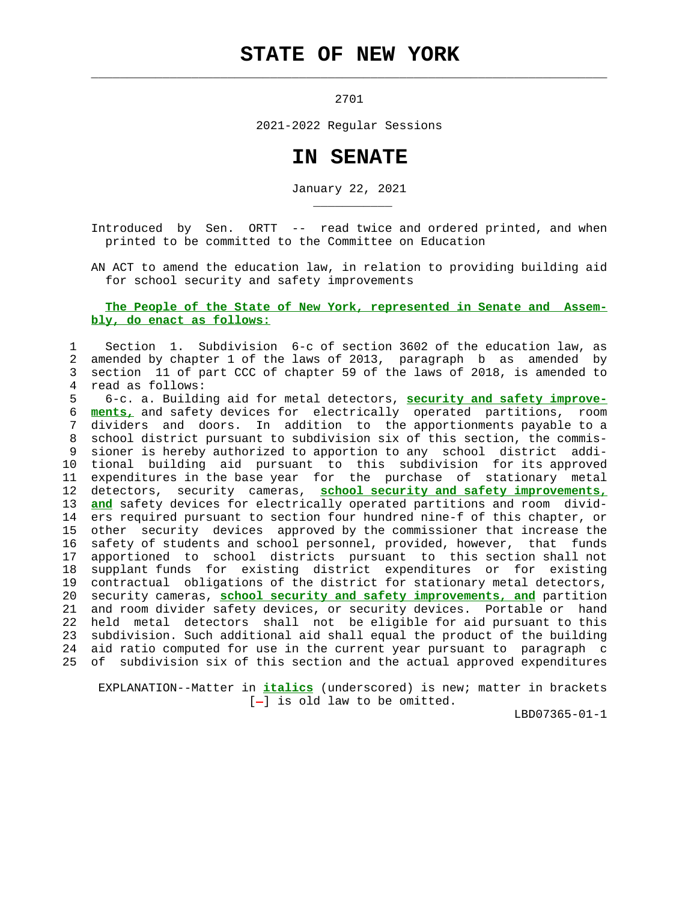## **STATE OF NEW YORK**

 $\mathcal{L}_\text{max} = \frac{1}{2} \sum_{i=1}^{n} \frac{1}{2} \sum_{i=1}^{n} \frac{1}{2} \sum_{i=1}^{n} \frac{1}{2} \sum_{i=1}^{n} \frac{1}{2} \sum_{i=1}^{n} \frac{1}{2} \sum_{i=1}^{n} \frac{1}{2} \sum_{i=1}^{n} \frac{1}{2} \sum_{i=1}^{n} \frac{1}{2} \sum_{i=1}^{n} \frac{1}{2} \sum_{i=1}^{n} \frac{1}{2} \sum_{i=1}^{n} \frac{1}{2} \sum_{i=1}^{n} \frac{1$ 

\_\_\_\_\_\_\_\_\_\_\_

2701

2021-2022 Regular Sessions

## **IN SENATE**

January 22, 2021

 Introduced by Sen. ORTT -- read twice and ordered printed, and when printed to be committed to the Committee on Education

 AN ACT to amend the education law, in relation to providing building aid for school security and safety improvements

## **The People of the State of New York, represented in Senate and Assem bly, do enact as follows:**

 1 Section 1. Subdivision 6-c of section 3602 of the education law, as 2 amended by chapter 1 of the laws of 2013, paragraph b as amended by 3 section 11 of part CCC of chapter 59 of the laws of 2018, is amended to 4 read as follows:

 5 6-c. a. Building aid for metal detectors, **security and safety improve-** 6 **ments,** and safety devices for electrically operated partitions, room 7 dividers and doors. In addition to the apportionments payable to a 8 school district pursuant to subdivision six of this section, the commis- 9 sioner is hereby authorized to apportion to any school district addi- 10 tional building aid pursuant to this subdivision for its approved 11 expenditures in the base year for the purchase of stationary metal 12 detectors, security cameras, **school security and safety improvements,** 13 **and** safety devices for electrically operated partitions and room divid- 14 ers required pursuant to section four hundred nine-f of this chapter, or 15 other security devices approved by the commissioner that increase the 16 safety of students and school personnel, provided, however, that funds 17 apportioned to school districts pursuant to this section shall not 18 supplant funds for existing district expenditures or for existing 19 contractual obligations of the district for stationary metal detectors, 20 security cameras, **school security and safety improvements, and** partition 21 and room divider safety devices, or security devices. Portable or hand 22 held metal detectors shall not be eligible for aid pursuant to this 23 subdivision. Such additional aid shall equal the product of the building 24 aid ratio computed for use in the current year pursuant to paragraph c 25 of subdivision six of this section and the actual approved expenditures

 EXPLANATION--Matter in **italics** (underscored) is new; matter in brackets  $[-]$  is old law to be omitted.

LBD07365-01-1